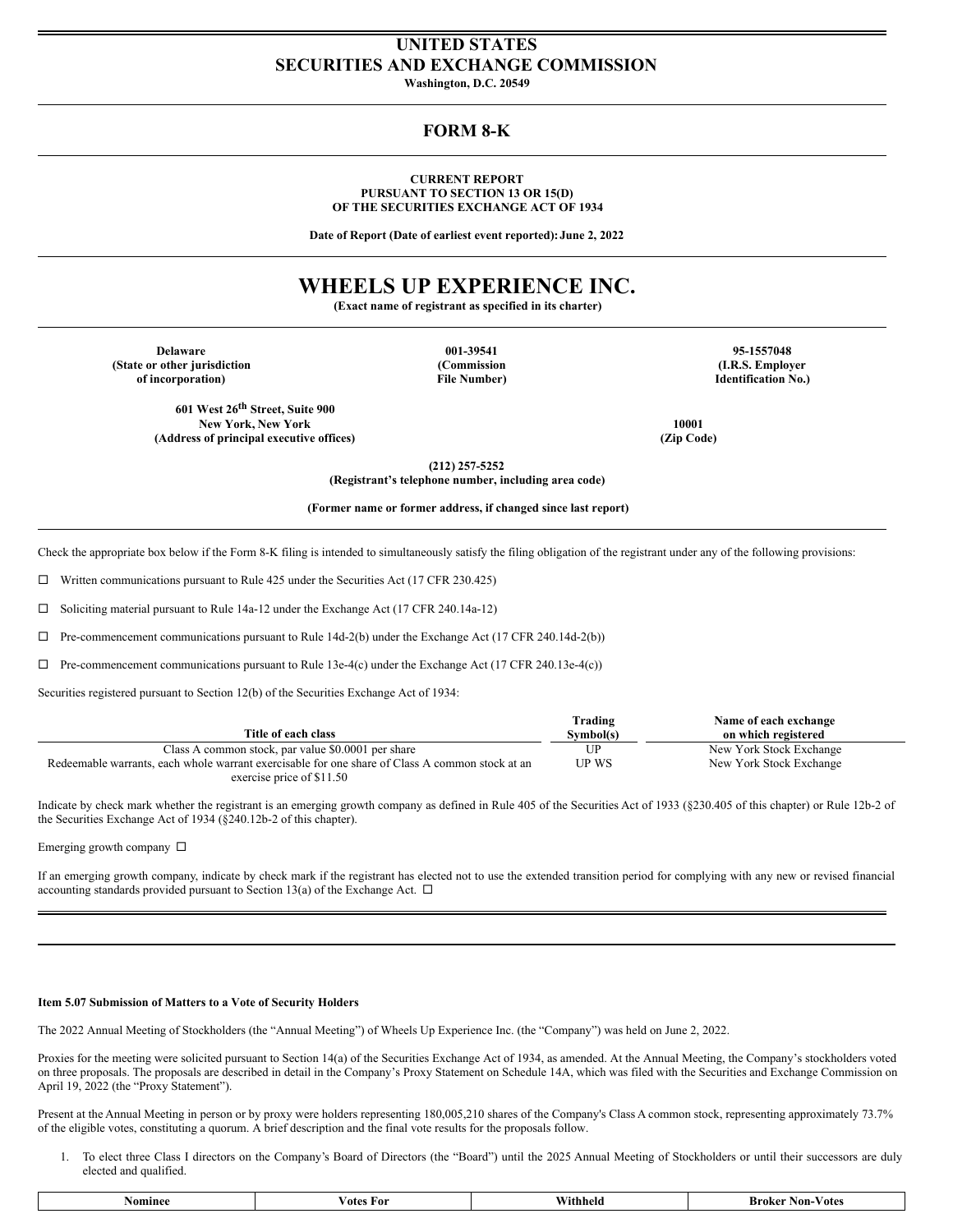## **UNITED STATES SECURITIES AND EXCHANGE COMMISSION**

**Washington, D.C. 20549**

## **FORM 8-K**

### **CURRENT REPORT PURSUANT TO SECTION 13 OR 15(D) OF THE SECURITIES EXCHANGE ACT OF 1934**

**Date of Report (Date of earliest event reported):June 2, 2022**

# **WHEELS UP EXPERIENCE INC.**

**(Exact name of registrant as specified in its charter)**

**Delaware 001-39541 95-1557048 (State or other jurisdiction (Commission (I.R.S. Employer of** incorporation)

**601 West 26 th Street, Suite 900 New York, New York 10001 (Address of principal executive offices) (Zip Code)**

**(212) 257-5252 (Registrant's telephone number, including area code)**

**(Former name or former address, if changed since last report)**

Check the appropriate box below if the Form 8-K filing is intended to simultaneously satisfy the filing obligation of the registrant under any of the following provisions:

 $\Box$  Written communications pursuant to Rule 425 under the Securities Act (17 CFR 230.425)

 $\Box$  Soliciting material pursuant to Rule 14a-12 under the Exchange Act (17 CFR 240.14a-12)

 $\Box$  Pre-commencement communications pursuant to Rule 14d-2(b) under the Exchange Act (17 CFR 240.14d-2(b))

 $\Box$  Pre-commencement communications pursuant to Rule 13e-4(c) under the Exchange Act (17 CFR 240.13e-4(c))

Securities registered pursuant to Section 12(b) of the Securities Exchange Act of 1934:

|                                                                                                 | Trading   | Name of each exchange   |
|-------------------------------------------------------------------------------------------------|-----------|-------------------------|
| Title of each class                                                                             | Symbol(s) | on which registered     |
| Class A common stock, par value \$0,0001 per share                                              | UP        | New York Stock Exchange |
| Redeemable warrants, each whole warrant exercisable for one share of Class A common stock at an | UP WS     | New York Stock Exchange |
| exercise price of \$11.50                                                                       |           |                         |

Indicate by check mark whether the registrant is an emerging growth company as defined in Rule 405 of the Securities Act of 1933 (§230.405 of this chapter) or Rule 12b-2 of the Securities Exchange Act of 1934 (§240.12b-2 of this chapter).

Emerging growth company  $\Box$ 

If an emerging growth company, indicate by check mark if the registrant has elected not to use the extended transition period for complying with any new or revised financial accounting standards provided pursuant to Section 13(a) of the Exchange Act.  $\Box$ 

#### **Item 5.07 Submission of Matters to a Vote of Security Holders**

The 2022 Annual Meeting of Stockholders (the "Annual Meeting") of Wheels Up Experience Inc. (the "Company") was held on June 2, 2022.

Proxies for the meeting were solicited pursuant to Section 14(a) of the Securities Exchange Act of 1934, as amended. At the Annual Meeting, the Company's stockholders voted on three proposals. The proposals are described in detail in the Company's Proxy Statement on Schedule 14A, which was filed with the Securities and Exchange Commission on April 19, 2022 (the "Proxy Statement").

Present at the Annual Meeting in person or by proxy were holders representing 180,005,210 shares of the Company's Class A common stock, representing approximately 73.7% of the eligible votes, constituting a quorum. A brief description and the final vote results for the proposals follow.

1. To elect three Class I directors on the Company's Board of Directors (the "Board") until the 2025 Annual Meeting of Stockholders or until their successors are duly elected and qualified.

| somin | ∕ ote∘<br>For | ıneır | -Votes<br>Broker<br>Non- . |
|-------|---------------|-------|----------------------------|
|       |               |       |                            |